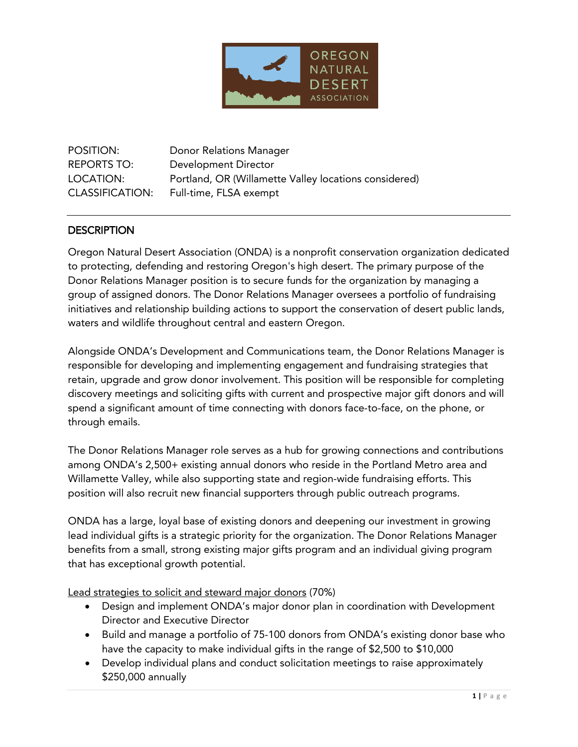

POSITION: Donor Relations Manager REPORTS TO: Development Director LOCATION: Portland, OR (Willamette Valley locations considered) CLASSIFICATION: Full-time, FLSA exempt

### **DESCRIPTION**

Oregon Natural Desert Association (ONDA) is a nonprofit conservation organization dedicated to protecting, defending and restoring Oregon's high desert. The primary purpose of the Donor Relations Manager position is to secure funds for the organization by managing a group of assigned donors. The Donor Relations Manager oversees a portfolio of fundraising initiatives and relationship building actions to support the conservation of desert public lands, waters and wildlife throughout central and eastern Oregon.

Alongside ONDA's Development and Communications team, the Donor Relations Manager is responsible for developing and implementing engagement and fundraising strategies that retain, upgrade and grow donor involvement. This position will be responsible for completing discovery meetings and soliciting gifts with current and prospective major gift donors and will spend a significant amount of time connecting with donors face-to-face, on the phone, or through emails.

The Donor Relations Manager role serves as a hub for growing connections and contributions among ONDA's 2,500+ existing annual donors who reside in the Portland Metro area and Willamette Valley, while also supporting state and region-wide fundraising efforts. This position will also recruit new financial supporters through public outreach programs.

ONDA has a large, loyal base of existing donors and deepening our investment in growing lead individual gifts is a strategic priority for the organization. The Donor Relations Manager benefits from a small, strong existing major gifts program and an individual giving program that has exceptional growth potential.

Lead strategies to solicit and steward major donors (70%)

- Design and implement ONDA's major donor plan in coordination with Development Director and Executive Director
- Build and manage a portfolio of 75-100 donors from ONDA's existing donor base who have the capacity to make individual gifts in the range of \$2,500 to \$10,000
- Develop individual plans and conduct solicitation meetings to raise approximately \$250,000 annually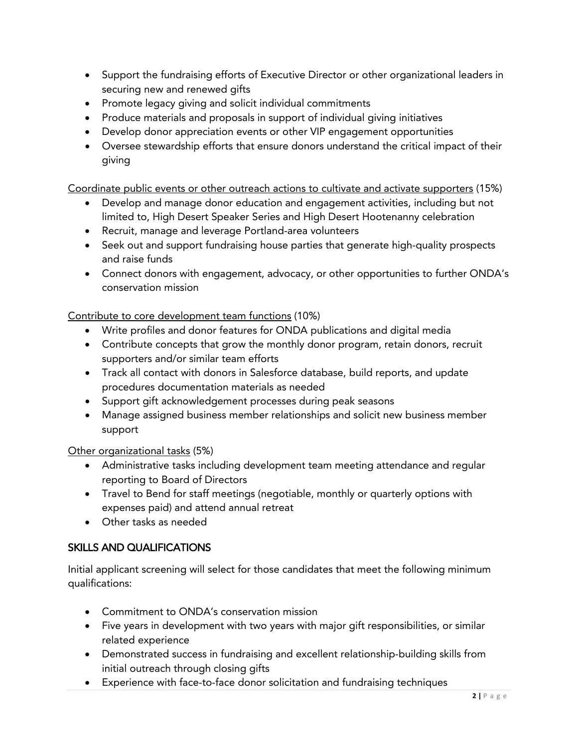- Support the fundraising efforts of Executive Director or other organizational leaders in securing new and renewed gifts
- Promote legacy giving and solicit individual commitments
- Produce materials and proposals in support of individual giving initiatives
- Develop donor appreciation events or other VIP engagement opportunities
- Oversee stewardship efforts that ensure donors understand the critical impact of their giving

Coordinate public events or other outreach actions to cultivate and activate supporters (15%)

- Develop and manage donor education and engagement activities, including but not limited to, High Desert Speaker Series and High Desert Hootenanny celebration
- Recruit, manage and leverage Portland-area volunteers
- Seek out and support fundraising house parties that generate high-quality prospects and raise funds
- Connect donors with engagement, advocacy, or other opportunities to further ONDA's conservation mission

Contribute to core development team functions (10%)

- Write profiles and donor features for ONDA publications and digital media
- Contribute concepts that grow the monthly donor program, retain donors, recruit supporters and/or similar team efforts
- Track all contact with donors in Salesforce database, build reports, and update procedures documentation materials as needed
- Support gift acknowledgement processes during peak seasons
- Manage assigned business member relationships and solicit new business member support

Other organizational tasks (5%)

- Administrative tasks including development team meeting attendance and regular reporting to Board of Directors
- Travel to Bend for staff meetings (negotiable, monthly or quarterly options with expenses paid) and attend annual retreat
- Other tasks as needed

# SKILLS AND QUALIFICATIONS

Initial applicant screening will select for those candidates that meet the following minimum qualifications:

- Commitment to ONDA's conservation mission
- Five years in development with two years with major gift responsibilities, or similar related experience
- Demonstrated success in fundraising and excellent relationship-building skills from initial outreach through closing gifts
- Experience with face-to-face donor solicitation and fundraising techniques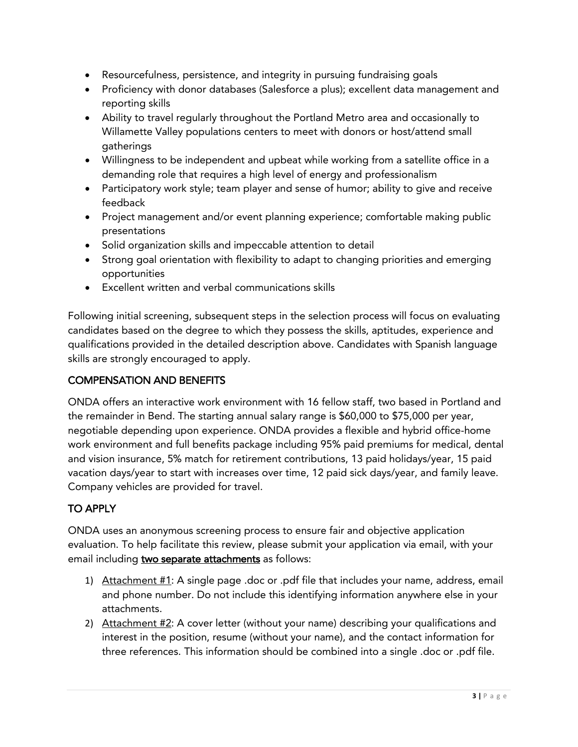- Resourcefulness, persistence, and integrity in pursuing fundraising goals
- Proficiency with donor databases (Salesforce a plus); excellent data management and reporting skills
- Ability to travel regularly throughout the Portland Metro area and occasionally to Willamette Valley populations centers to meet with donors or host/attend small gatherings
- Willingness to be independent and upbeat while working from a satellite office in a demanding role that requires a high level of energy and professionalism
- Participatory work style; team player and sense of humor; ability to give and receive feedback
- Project management and/or event planning experience; comfortable making public presentations
- Solid organization skills and impeccable attention to detail
- Strong goal orientation with flexibility to adapt to changing priorities and emerging opportunities
- Excellent written and verbal communications skills

Following initial screening, subsequent steps in the selection process will focus on evaluating candidates based on the degree to which they possess the skills, aptitudes, experience and qualifications provided in the detailed description above. Candidates with Spanish language skills are strongly encouraged to apply.

### COMPENSATION AND BENEFITS

ONDA offers an interactive work environment with 16 fellow staff, two based in Portland and the remainder in Bend. The starting annual salary range is \$60,000 to \$75,000 per year, negotiable depending upon experience. ONDA provides a flexible and hybrid office-home work environment and full benefits package including 95% paid premiums for medical, dental and vision insurance, 5% match for retirement contributions, 13 paid holidays/year, 15 paid vacation days/year to start with increases over time, 12 paid sick days/year, and family leave. Company vehicles are provided for travel.

# TO APPLY

ONDA uses an anonymous screening process to ensure fair and objective application evaluation. To help facilitate this review, please submit your application via email, with your email including two separate attachments as follows:

- 1) Attachment #1: A single page .doc or .pdf file that includes your name, address, email and phone number. Do not include this identifying information anywhere else in your attachments.
- 2) Attachment #2: A cover letter (without your name) describing your qualifications and interest in the position, resume (without your name), and the contact information for three references. This information should be combined into a single .doc or .pdf file.